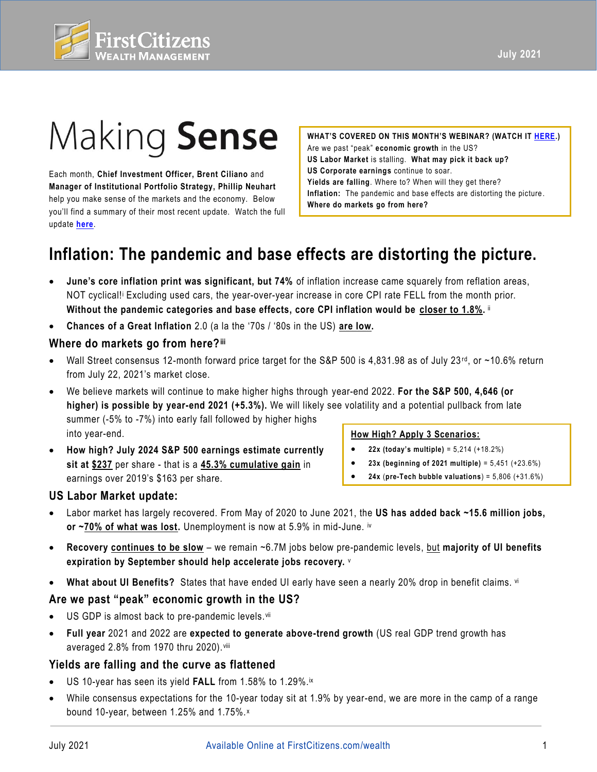

# Making Sense

 update **[here](https://fast.wistia.net/embed/channel/3szt6oi0ia?wchannelid=3szt6oi0ia&wvideoid=ne8bhbkr7v)**. Each month, **Chief Investment Officer, Brent Ciliano** and **Manager of Institutional Portfolio Strategy, Phillip Neuhart**  help you make sense of the markets and the economy. Below you'll find a summary of their most recent update. Watch the full

 **WHAT'S COVERED ON THIS MONTH'S WEBINAR? (WATCH IT [HERE.](https://fast.wistia.net/embed/channel/3szt6oi0ia?wchannelid=3szt6oi0ia&wvideoid=ne8bhbkr7v))**  Are we past "peak" **economic growth** in the US? **US Labor Market** is stalling. **What may pick it back up? US Corporate earnings** continue to soar. **Yields are falling**. Where to? When will they get there? **Inflation:** The pandemic and base effects are distorting the picture. **Where do markets go from here?** 

# **Inflation: The pandemic and base effects are distorting the picture.**

- **June's core inflation print was significant, but 74%** of inflation increase came squarely from reflation areas, NOT cyclical!i Excluding used cars, the year-over-year increase in core CPI rate FELL from the month prior.  **Without the pandemic categories and base effects, core CPI inflation would be closer to 1.8%.** ii
- **Chances of a Great Inflation** 2.0 (a la the '70s / '80s in the US) **are low.**

# **Where do markets go from here?iii**

- Wall Street consensus 12-month forward price target for the S&P 500 is 4,831.98 as of July 23<sup>rd</sup>, or ~10.6% return from July 22, 2021's market close.
- We believe markets will continue to make higher highs through year-end 2022. **For the S&P 500, 4,646 (or higher) is possible by year-end 2021 (+5.3%).** We will likely see volatility and a potential pullback from late summer (-5% to -7%) into early fall followed by higher highs into year-end. **How High? Apply 3 Scenarios:**
- **How high? July 2024 S&P 500 earnings estimate currently sit at \$237** per share - that is a **45.3% cumulative gain** in earnings over 2019's \$163 per share.

- **22x (today's multiple)** = 5,214 (+18.2%)
- **23x (beginning of 2021 multiple)** = 5,451 (+23.6%)
- **24x** (**pre-Tech bubble valuations**) = 5,806 (+31.6%)

# **US Labor Market update:**

- Labor market has largely recovered. From May of 2020 to June 2021, the **US has added back ~15.6 million jobs, or ~70% of what was lost.** Unemployment is now at 5.9% in mid-June. iv
- **expiration by September should help accelerate jobs recovery.** <sup>v</sup> • **Recovery continues to be slow** – we remain ~6.7M jobs below pre-pandemic levels, but **majority of UI benefits**
- **What about UI Benefits?** States that have ended UI early have seen a nearly 20% drop in benefit claims. vi

# **Are we past "peak" economic growth in the US?**

- US GDP is almost back to pre-pandemic levels. vii
- **Full year** 2021 and 2022 are **expected to generate above-trend growth** (US real GDP trend growth has averaged 2.8% from 1970 thru 2020). viii

# **Yields are falling and the curve as flattened**

- US 10-year has seen its yield **FALL** from 1.58% to 1.29%.ix
- • While consensus expectations for the 10-year today sit at 1.9% by year-end, we are more in the camp of a range bound 10-year, between 1.25% and 1.75%. <sup>x</sup>